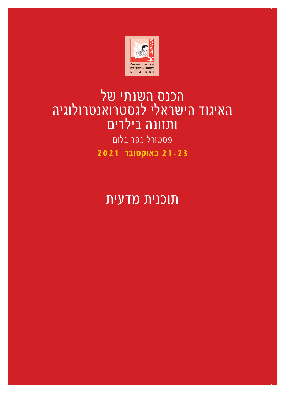

# הכנס השנתי של האיגוד הישראלי לגסטרואנטרולוגיה ותזונה בילדים

פסטורל כפר בלום **21-23 באוקטובר 2021**

תוכנית מדעית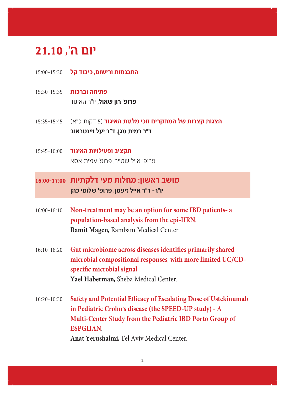## **יום ה׳, 21.10**

- **התכנסות ורישום, כיבוד קל** 15:00-15:30
- **פתיחה וברכות** 15:30-15:35 **פרופ׳ רון שאול,** יו״ר האיגוד
- **הצגות קצרות של המחקרים זוכי מלגות האיגוד** )5 דקות כ״א) 15:35-15:45 **ד״ר רמית מגן, ד״ר יעל ויינטראוב**
- **תקציב ופעילויות האיגוד** 15:45-16:00 פרופ׳ אייל שטייר, פרופ׳ עמית אסא

### **מושב ראשון: מחלות מעי דלקתיות 16:00-17:00 יו״ר- ד״ר אייל זיפמן, פרופ׳ שלומי כהן**

- 16:00-16:10 **Non-treatment may be an option for some IBD patients a population-based analysis from the epi-IIRN. Ramit Magen,** Rambam Medical Center.
- 16:10-16:20 **Gut microbiome across diseases identifies primarily shared microbial compositional responses, with more limited UC/CDspecific microbial signal**. **Yael Haberman,** Sheba Medical Center.
- 16:20-16:30 **Safety and Potential Efficacy of Escalating Dose of Ustekinumab in Pediatric Crohn׳s disease (the SPEED-UP study) - A Multi-Center Study from the Pediatric IBD Porto Group of ESPGHAN. Anat Yerushalmi,** Tel Aviv Medical Center.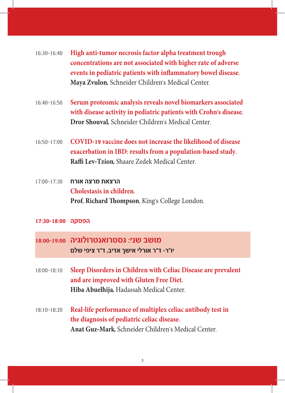- 16:30-16:40 **High anti-tumor necrosis factor alpha treatment trough concentrations are not associated with higher rate of adverse events in pediatric patients with inflammatory bowel disease. Maya Zvulon,** Schneider Children׳s Medical Center.
- 16:40-16:50 **Serum proteomic analysis reveals novel biomarkers associated with disease activity in pediatric patients with Crohn's disease. Dror Shouval,** Schneider Children׳s Medical Center.
- 16:50-17:00 **COVID-19 vaccine does not increase the likelihood of disease exacerbation in IBD: results from a population-based study. Raffi Lev-Tzion,** Shaare Zedek Medical Center.
- **הרצאת מרצה אורח** 17:00-17:30 **Cholestasis in children. Prof. Richard Thompson**, King׳s College London.
- **הפסקה 17:30-18:00**
- **מושב שני: גסטרואנטרולוגיה 18:00-19:00 יו״ר- ד״ר אורלי אישך אדיב, ד״ר ציפי שלם**
- 18:00-18:10 **Sleep Disorders in Children with Celiac Disease are prevalent and are improved with Gluten Free Diet. Hiba Abuelhija,** Hadassah Medical Center.
- 18:10-18:20 **Real-life performance of multiplex celiac antibody test in the diagnosis of pediatric celiac disease. Anat Guz-Mark,** Schneider Children׳s Medical Center.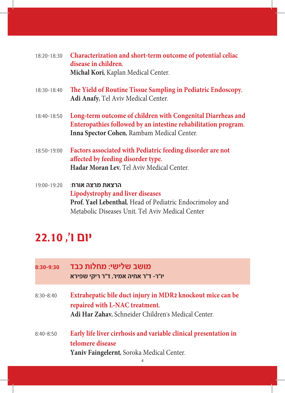| 18:20-18:30 | Characterization and short-term outcome of potential celiac<br>disease in children.<br>Michal Kori, Kaplan Medical Center.                                                  |
|-------------|-----------------------------------------------------------------------------------------------------------------------------------------------------------------------------|
| 18:30-18:40 | The Yield of Routine Tissue Sampling in Pediatric Endoscopy.<br>Adi Anafy, Tel Aviv Medical Center.                                                                         |
| 18:40-18:50 | Long-term outcome of children with Congenital Diarrheas and<br>Enteropathies followed by an intestine rehabilitation program.<br>Inna Spector Cohen, Rambam Medical Center. |
| 18:50-19:00 | Factors associated with Pediatric feeding disorder are not<br>affected by feeding disorder type.<br>Hadar Moran Lev, Tel Aviv Medical Center.                               |
| 19:00-19:20 | ּהרצאת מרצה אורח<br>Lipodystrophy and liver diseases<br>Prof. Yael Lebenthal, Head of Pediatric Endocrimoloy and<br>Metabolic Diseases Unit, Tel Aviv Medical Center        |

## **יום ו׳, 22.10**

| 8:30-9:30     | מושב שלישי: מחלות כבד<br>יו״ר- ד״ר אחיה אמיר, ד״ר ריקי שפירא                                                                                        |
|---------------|-----------------------------------------------------------------------------------------------------------------------------------------------------|
| $8:30 - 8:40$ | Extrahepatic bile duct injury in MDR2 knockout mice can be<br>repaired with L-NAC treatment.<br>Adi Har Zahav, Schneider Children's Medical Center. |
| $8:40 - 8:50$ | Early life liver cirrhosis and variable clinical presentation in<br>telomere disease<br>Yaniv Faingelernt, Soroka Medical Center.<br>4              |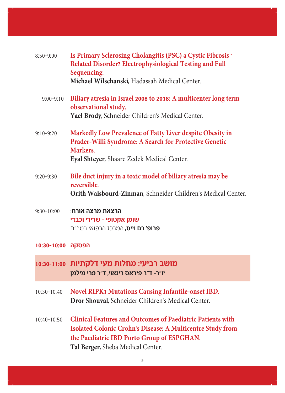| $8:50-9:00$       | Is Primary Sclerosing Cholangitis (PSC) a Cystic Fibrosis -<br>Related Disorder? Electrophysiological Testing and Full<br>Sequencing.<br>Michael Wilschanski, Hadassah Medical Center.                             |
|-------------------|--------------------------------------------------------------------------------------------------------------------------------------------------------------------------------------------------------------------|
| $9:00 - 9:10$     | Biliary atresia in Israel 2008 to 2018: A multicenter long term<br>observational study.<br>Yael Brody, Schneider Children's Medical Center.                                                                        |
| $9:10-9:20$       | Markedly Low Prevalence of Fatty Liver despite Obesity in<br>Prader-Willi Syndrome: A Search for Protective Genetic<br>Markers.<br>Eyal Shteyer, Shaare Zedek Medical Center.                                      |
| $9:20 - 9:30$     | Bile duct injury in a toxic model of biliary atresia may be<br>reversible.<br>Orith Waisbourd-Zinman, Schneider Children's Medical Center.                                                                         |
| $9:30 - 10:00$    | ∶הרצאת מרצה אורח<br>שומן אקטופי - שרירי וכבדי<br><b>פרופ׳ רם וייס,</b> המרכז הרפואי רמב״ם                                                                                                                          |
| הפסקה 10:00-10:30 |                                                                                                                                                                                                                    |
|                   | מושב רביעי: מחלות מעי דלקתיות 10:30-11:00<br>יו״ר- ד״ר פיראס רינאוי, ד״ר פרי מילמן                                                                                                                                 |
| 10:30-10:40       | <b>Novel RIPK1 Mutations Causing Infantile-onset IBD.</b><br>Dror Shouval, Schneider Children's Medical Center.                                                                                                    |
| 10:40-10:50       | <b>Clinical Features and Outcomes of Paediatric Patients with</b><br>Isolated Colonic Crohn's Disease: A Multicentre Study from<br>the Paediatric IBD Porto Group of ESPGHAN.<br>Tal Berger, Sheba Medical Center. |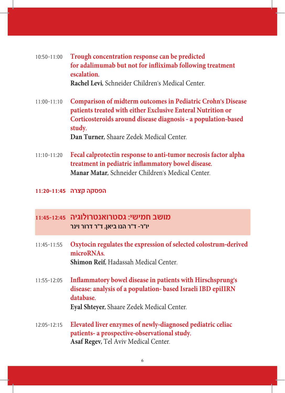- 10:50-11:00 **Trough concentration response can be predicted for adalimumab but not for infliximab following treatment escalation. Rachel Levi,** Schneider Children׳s Medical Center.
- 11:00-11:10 **Comparison of midterm outcomes in Pediatric Crohn's Disease patients treated with either Exclusive Enteral Nutrition or Corticosteroids around disease diagnosis - a population-based study. Dan Turner,** Shaare Zedek Medical Center.
- 11:10-11:20 **Fecal calprotectin response to anti-tumor necrosis factor alpha treatment in pediatric inflammatory bowel disease. Manar Matar,** Schneider Children׳s Medical Center.

#### **הפסקה קצרה 11:20-11:45**

#### **מושב חמישי: גסטרואנטרולוגיה 11:45-12:45 יו״ר- ד״ר הנו ביאן, ד״ר דרור וינר**

- 11:45-11:55 **Oxytocin regulates the expression of selected colostrum-derived microRNAs. Shimon Reif,** Hadassah Medical Center.
- 11:55-12:05 **Inflammatory bowel disease in patients with Hirschsprung's disease: analysis of a population- based Israeli IBD epiIIRN database. Eyal Shteyer,** Shaare Zedek Medical Center.
- 12:05-12:15 **Elevated liver enzymes of newly-diagnosed pediatric celiac patients- a prospective-observational study. Asaf Regev,** Tel Aviv Medical Center.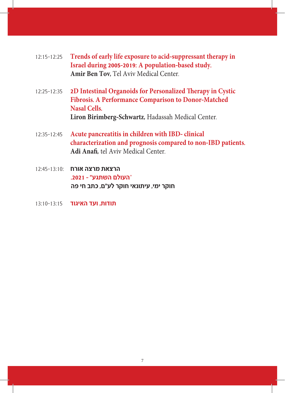- 12:15-12:25 **Trends of early life exposure to acid-suppressant therapy in Israel during 2005-2019: A population-based study. Amir Ben Tov,** Tel Aviv Medical Center.
- 12:25-12:35 **2D Intestinal Organoids for Personalized Therapy in Cystic Fibrosis. A Performance Comparison to Donor-Matched Nasal Cells. Liron Birimberg-Schwartz,** Hadassah Medical Center.
- 12:35-12:45 **Acute pancreatitis in children with IBD clinical characterization and prognosis compared to non-IBD patients. Adi Anafi,** tel Aviv Medical Center.
- **הרצאת מרצה אורח** 12:45-13:10: "**העולם השתגע״ - .2021 חוקר ימי, עיתונאי חוקר לע״ם, כתב חי פה**
- **תודות, ועד האיגוד** 13:10-13:15